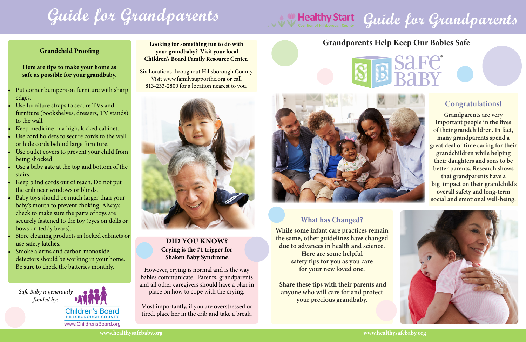#### **Did you know? Crying is the #1 trigger for Shaken Baby Syndrome.**

However, crying is normal and is the way babies communicate. Parents, grandparents and all other caregivers should have a plan in place on how to cope with the crying.

Most importantly, if you are overstressed or tired, place her in the crib and take a break.

# **Grandparents Help Keep Our Babies Safe**





### **Congratulations!**

**Grandparents are very important people in the lives of their grandchildren. In fact, many grandparents spend a great deal of time caring for their grandchildren while helping their daughters and sons to be better parents. Research shows that grandparents have a big impact on their grandchild's overall safety and long-term social and emotional well-being.** 





## **What has Changed?**

**While some infant care practices remain the same, other guidelines have changed due to advances in health and science. Here are some helpful safety tips for you as you care for your new loved one.** 

 **Share these tips with their parents and anyone who will care for and protect your precious grandbaby.** 

- Put corner bumpers on furniture with sharp edges.
- Use furniture straps to secure TVs and furniture (bookshelves, dressers, TV stands) to the wall.
- Keep medicine in a high, locked cabinet.
- Use cord holders to secure cords to the wall or hide cords behind large furniture.
- Use outlet covers to prevent your child from being shocked.
- Use a baby gate at the top and bottom of the stairs.
- Keep blind cords out of reach. Do not put the crib near windows or blinds.
- Baby toys should be much larger than your baby's mouth to prevent choking. Always check to make sure the parts of toys are securely fastened to the toy (eyes on dolls or bows on teddy bears).
- Store cleaning products in locked cabinets or use safety latches.
- Smoke alarms and carbon monoxide detectors should be working in your home. Be sure to check the batteries monthly.

#### **Grandchild Proofing**

**Here are tips to make your home as safe as possible for your grandbaby.**

**Looking for something fun to do with your grandbaby? Visit your local Children's Board Family Resource Center.**

Six Locations throughout Hillsborough County Visit www.familysupporthc.org or call 813-233-2800 for a location nearest to you.



*Safe Baby is generously funded by:*



www.ChildrensBoard.org

# Healthy Start Guide for Grandparents

# **Guide for Grandparents**